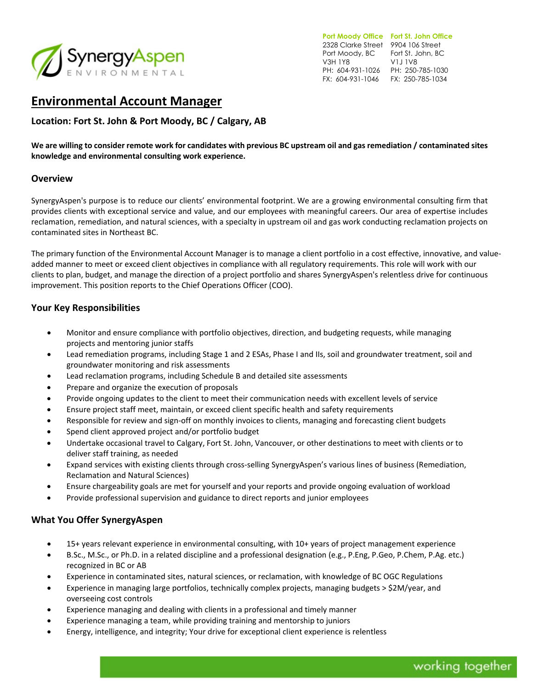

**Port Moody Office Fort St. John Office**  2328 Clarke Street 9904 106 Street Port Moody, BC Fort St. John, BC V3H 1Y8 PH: 604-931-1026 PH: 250-785-1030 FX: 604-931-1046 FX: 250-785-1034 V1J 1V8

# **Environmental Account Manager**

**Location: Fort St. John & Port Moody, BC / Calgary, AB**

**We are willing to consider remote work for candidates with previous BC upstream oil and gas remediation / contaminated sites knowledge and environmental consulting work experience.**

# **Overview**

SynergyAspen's purpose is to reduce our clients' environmental footprint. We are a growing environmental consulting firm that provides clients with exceptional service and value, and our employees with meaningful careers. Our area of expertise includes reclamation, remediation, and natural sciences, with a specialty in upstream oil and gas work conducting reclamation projects on contaminated sites in Northeast BC.

The primary function of the Environmental Account Manager is to manage a client portfolio in a cost effective, innovative, and valueadded manner to meet or exceed client objectives in compliance with all regulatory requirements. This role will work with our clients to plan, budget, and manage the direction of a project portfolio and shares SynergyAspen's relentless drive for continuous improvement. This position reports to the Chief Operations Officer (COO).

# **Your Key Responsibilities**

- Monitor and ensure compliance with portfolio objectives, direction, and budgeting requests, while managing projects and mentoring junior staffs
- Lead remediation programs, including Stage 1 and 2 ESAs, Phase I and IIs, soil and groundwater treatment, soil and groundwater monitoring and risk assessments
- Lead reclamation programs, including Schedule B and detailed site assessments
- Prepare and organize the execution of proposals
- Provide ongoing updates to the client to meet their communication needs with excellent levels of service
- Ensure project staff meet, maintain, or exceed client specific health and safety requirements
- Responsible for review and sign-off on monthly invoices to clients, managing and forecasting client budgets
- Spend client approved project and/or portfolio budget
- Undertake occasional travel to Calgary, Fort St. John, Vancouver, or other destinations to meet with clients or to deliver staff training, as needed
- Expand services with existing clients through cross-selling SynergyAspen's various lines of business (Remediation, Reclamation and Natural Sciences)
- Ensure chargeability goals are met for yourself and your reports and provide ongoing evaluation of workload
- Provide professional supervision and guidance to direct reports and junior employees

#### **What You Offer SynergyAspen**

- 15+ years relevant experience in environmental consulting, with 10+ years of project management experience
- B.Sc., M.Sc., or Ph.D. in a related discipline and a professional designation (e.g., P.Eng, P.Geo, P.Chem, P.Ag. etc.) recognized in BC or AB
- Experience in contaminated sites, natural sciences, or reclamation, with knowledge of BC OGC Regulations
- Experience in managing large portfolios, technically complex projects, managing budgets > \$2M/year, and overseeing cost controls
- Experience managing and dealing with clients in a professional and timely manner
- Experience managing a team, while providing training and mentorship to juniors
- Energy, intelligence, and integrity; Your drive for exceptional client experience is relentless